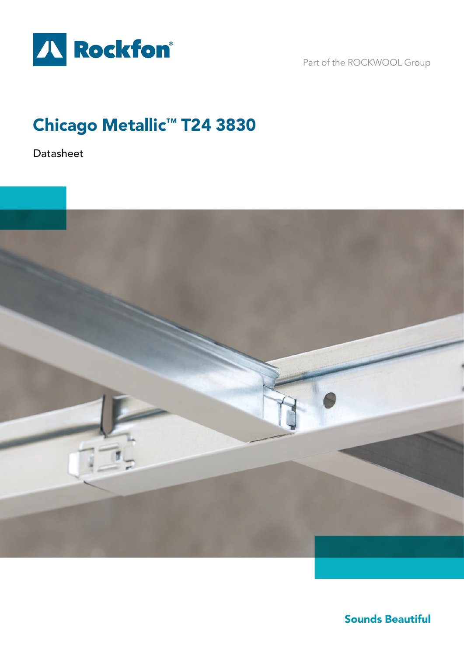

Part of the ROCKWOOL Group

# Chicago Metallic™ T24 3830

Datasheet



Sounds Beautiful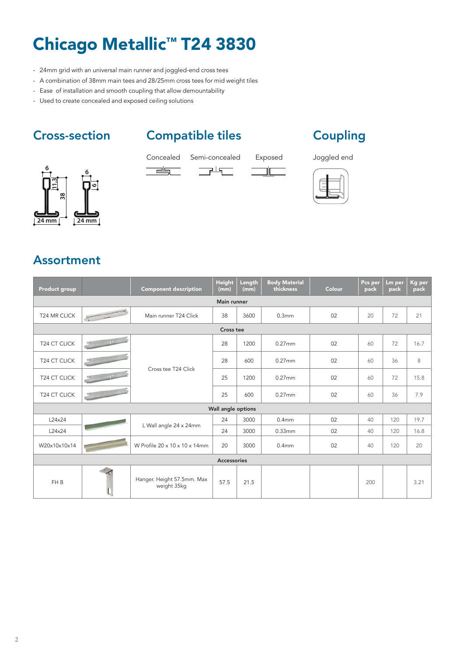# Chicago Metallic™ T24 3830

- 24mm grid with an universal main runner and joggled-end cross tees
- A combination of 38mm main tees and 28/25mm cross tees for mid weight tiles
- Ease of installation and smooth coupling that allow demountability
- Used to create concealed and exposed ceiling solutions

## Cross-section Compatible tiles Coupling

 $\overline{\phantom{a}}$  $\equiv$ 







### Assortment

| Product group      |        | <b>Component description</b>              | <b>Height</b><br>(mm) | Length<br>(mm) | <b>Body Material</b><br>thickness | Colour | Pcs per<br>pack | Lm per<br>pack | Kg per<br>pack |  |  |  |
|--------------------|--------|-------------------------------------------|-----------------------|----------------|-----------------------------------|--------|-----------------|----------------|----------------|--|--|--|
| Main runner        |        |                                           |                       |                |                                   |        |                 |                |                |  |  |  |
| T24 MR CLICK       |        | Main runner T24 Click                     | 38                    | 3600           | 0.3 <sub>mm</sub>                 | 02     | 20              | 72             | 21             |  |  |  |
| Cross tee          |        |                                           |                       |                |                                   |        |                 |                |                |  |  |  |
| T24 CT CLICK       | $-112$ | Cross tee T24 Click                       | 28                    | 1200           | $0.27$ mm                         | 02     | 60              | 72             | 16.7           |  |  |  |
| T24 CT CLICK       |        |                                           | 28                    | 600            | $0.27$ mm                         | 02     | 60              | 36             | 8              |  |  |  |
| T24 CT CLICK       |        |                                           | 25                    | 1200           | $0.27$ mm                         | 02     | 60              | 72             | 15.8           |  |  |  |
| T24 CT CLICK       |        |                                           | 25                    | 600            | $0.27$ mm                         | 02     | 60              | 36             | 7.9            |  |  |  |
| Wall angle options |        |                                           |                       |                |                                   |        |                 |                |                |  |  |  |
| L24x24             |        | L Wall angle 24 x 24mm                    | 24                    | 3000           | 0.4 <sub>mm</sub>                 | 02     | 40              | 120            | 19.7           |  |  |  |
| L24x24             |        |                                           | 24                    | 3000           | 0.33mm                            | 02     | 40              | 120            | 16.8           |  |  |  |
| W20x10x10x14       |        | W Profile 20 x 10 x 10 x 14mm             | 20                    | 3000           | 0.4 <sub>mm</sub>                 | 02     | 40              | 120            | 20             |  |  |  |
| Accessories        |        |                                           |                       |                |                                   |        |                 |                |                |  |  |  |
| FH <sub>B</sub>    |        | Hanger. Height 57.5mm. Max<br>weight 35kg | 57.5                  | 21.5           |                                   |        | 200             |                | 3.21           |  |  |  |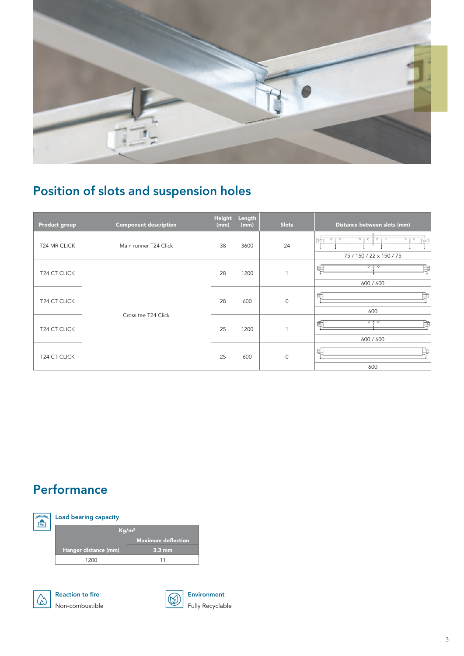

# Position of slots and suspension holes

| Product group            | <b>Component description</b> | Height<br>(mm) | Length<br>(mm) | <b>Slots</b> | Distance between slots (mm)                                                                      |
|--------------------------|------------------------------|----------------|----------------|--------------|--------------------------------------------------------------------------------------------------|
| T24 MR CLICK             | Main runner T24 Click        | 38             | 3600           | 24           | 尀<br>0 <sub>1</sub><br>$0 + 0$<br>$On$ $On$<br>O <sub>0</sub><br>100<br>75 / 150 / 22 x 150 / 75 |
| T24 CT CLICK             |                              |                | 1200           | 1            | 0 <sub>0</sub><br>c<br>600 / 600                                                                 |
| T24 CT CLICK             |                              | 28             | 600            | $\mathbf 0$  | ≖<br>600                                                                                         |
| T24 CT CLICK             | Cross tee T24 Click          | 25             | 1200           | 1            | 0 <sub>0</sub><br>f<br>600 / 600                                                                 |
| T <sub>24</sub> CT CLICK |                              | 25             | 600            | $\mathbf 0$  | 600                                                                                              |

## **Performance**





Reaction to fire Non-combustible